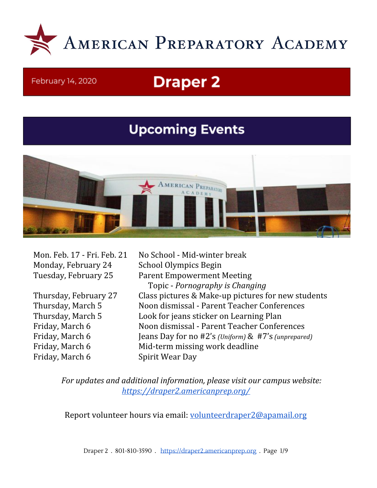

#### February 14, 2020

# **Draper 2**

## **Upcoming Events**



Mon. Feb. 17 - Fri. Feb. 21 No School - Mid-winter break Monday, February 24 School Olympics Begin

Friday, March 6 Spirit Wear Day

Tuesday, February 25 Parent Empowerment Meeting Topic - *Pornography is Changing* Thursday, February 27 Class pictures & Make-up pictures for new students Thursday, March 5 Noon dismissal - Parent Teacher Conferences Thursday, March 5 Look for jeans sticker on Learning Plan Friday, March 6 Noon dismissal - Parent Teacher Conferences Friday, March 6 Jeans Day for no #2's *(Uniform)* & #7's *(unprepared)* Friday, March 6 Mid-term missing work deadline

*For updates and additional information, please visit our campus website: <https://draper2.americanprep.org/>*

Report volunteer hours via email: [volunteerdraper2@apamail.org](mailto:volunteerdraper2@apamail.org)

Draper 2 . 801-810-3590 . [https://draper2.americanprep.org](https://draper2.americanprep.org/) . Page 1/9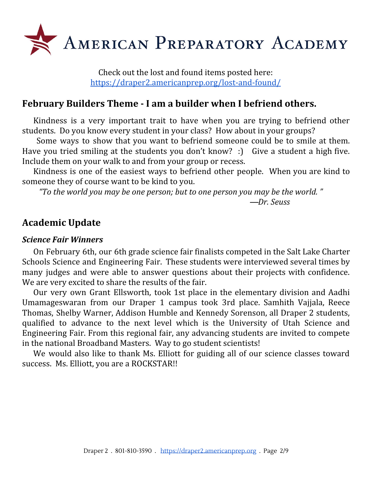

Check out the lost and found items posted here: <https://draper2.americanprep.org/lost-and-found/>

#### **February Builders Theme - I am a builder when I befriend others.**

Kindness is a very important trait to have when you are trying to befriend other students. Do you know every student in your class? How about in your groups?

Some ways to show that you want to befriend someone could be to smile at them. Have you tried smiling at the students you don't know? :) Give a student a high five. Include them on your walk to and from your group or recess.

Kindness is one of the easiest ways to befriend other people. When you are kind to someone they of course want to be kind to you.

*"To the world you may be one person; but to one person you may be the world. "*

―*Dr. Seuss*

#### **Academic Update**

#### *Science Fair Winners*

On February 6th, our 6th grade science fair finalists competed in the Salt Lake Charter Schools Science and Engineering Fair. These students were interviewed several times by many judges and were able to answer questions about their projects with confidence. We are very excited to share the results of the fair.

Our very own Grant Ellsworth, took 1st place in the elementary division and Aadhi Umamageswaran from our Draper 1 campus took 3rd place. Samhith Vajjala, Reece Thomas, Shelby Warner, Addison Humble and Kennedy Sorenson, all Draper 2 students, qualified to advance to the next level which is the University of Utah Science and Engineering Fair. From this regional fair, any advancing students are invited to compete in the national Broadband Masters. Way to go student scientists!

We would also like to thank Ms. Elliott for guiding all of our science classes toward success. Ms. Elliott, you are a ROCKSTAR!!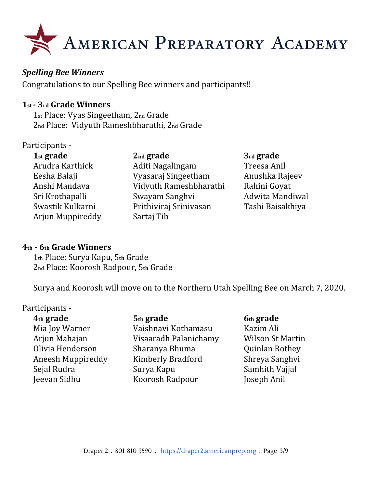

#### *Spelling Bee Winners*

Congratulations to our Spelling Bee winners and participants!!

#### **1st - 3rd Grade Winners**

1st Place: Vyas Singeetham, 2nd Grade 2nd Place: Vidyuth Rameshbharathi, 2nd Grade

#### Participants -

Arjun Muppireddy Sartaj Tib

**1st grade 2nd grade 3rd grade** Arudra Karthick **Aditi Nagalingam** Treesa Anil Eesha Balaji Vyasaraj Singeetham Anushka Rajeev Anshi Mandava Vidyuth Rameshbharathi Rahini Goyat Sri Krothapalli Swayam Sanghvi Adwita Mandiwal Swastik Kulkarni Prithiviraj Srinivasan Tashi Baisakhiya

#### **4th - 6th Grade Winners**

1th Place: Surya Kapu, 5**th** Grade 2nd Place: Koorosh Radpour, 5**th** Grade

Surya and Koorosh will move on to the Northern Utah Spelling Bee on March 7, 2020.

#### Participants -

**4th grade 5th grade 6th grade** Mia Joy Warner Vaishnavi Kothamasu Kazim Ali Arjun Mahajan Visaaradh Palanichamy Wilson St Martin Olivia Henderson Sharanya Bhuma Quinlan Rothey Aneesh Muppireddy Kimberly Bradford Shreya Sanghvi Sejal Rudra Surya Kapu Samhith Vajjal Jeevan Sidhu Koorosh Radpour Joseph Anil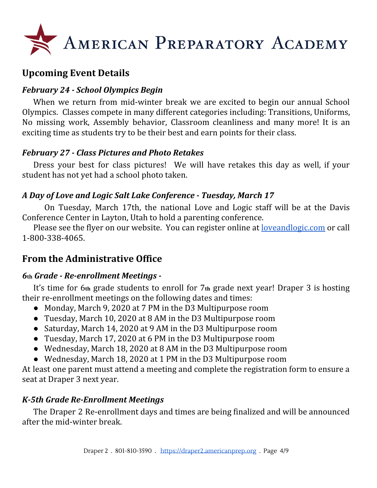

## **Upcoming Event Details**

#### *February 24 - School Olympics Begin*

When we return from mid-winter break we are excited to begin our annual School Olympics. Classes compete in many different categories including: Transitions, Uniforms, No missing work, Assembly behavior, Classroom cleanliness and many more! It is an exciting time as students try to be their best and earn points for their class.

#### *February 27 - Class Pictures and Photo Retakes*

Dress your best for class pictures! We will have retakes this day as well, if your student has not yet had a school photo taken.

#### *A Day of Love and Logic Salt Lake Conference - Tuesday, March 17*

On Tuesday, March 17th, the national Love and Logic staff will be at the Davis Conference Center in Layton, Utah to hold a parenting conference.

Please see the flyer on our website. You can register online at <u>[loveandlogic.com](https://www.loveandlogic.com/collections/classes-and-conferences/products/salt-lake-city-ut-march-17-2020)</u> or call 1-800-338-4065.

### **From the Administrative Office**

#### *6***th** *Grade - Re-enrollment Meetings -*

It's time for 6**th** grade students to enroll for 7**th** grade next year! Draper 3 is hosting their re-enrollment meetings on the following dates and times:

- Monday, March 9, 2020 at 7 PM in the D3 Multipurpose room
- Tuesday, March 10, 2020 at 8 AM in the D3 Multipurpose room
- Saturday, March 14, 2020 at 9 AM in the D3 Multipurpose room
- Tuesday, March 17, 2020 at 6 PM in the D3 Multipurpose room
- Wednesday, March 18, 2020 at 8 AM in the D3 Multipurpose room
- Wednesday, March 18, 2020 at 1 PM in the D3 Multipurpose room

At least one parent must attend a meeting and complete the registration form to ensure a seat at Draper 3 next year.

#### *K-5th Grade Re-Enrollment Meetings*

The Draper 2 Re-enrollment days and times are being finalized and will be announced after the mid-winter break.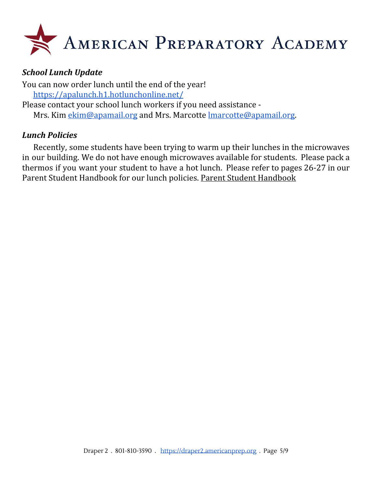

#### *School Lunch Update*

You can now order lunch until the end of the year! <https://apalunch.h1.hotlunchonline.net/> Please contact your school lunch workers if you need assistance Mrs. Kim [ekim@apamail.org](mailto:ekim@apamail.org) and Mrs. Marcotte [lmarcotte@apamail.org.](mailto:lmarcotte@apamail.org)

#### *Lunch Policies*

Recently, some students have been trying to warm up their lunches in the microwaves in our building. We do not have enough microwaves available for students. Please pack a thermos if you want your student to have a hot lunch. Please refer to pages 26-27 in our Parent Student Handbook for our lunch policies. Parent Student [Handbook](https://www.americanprep.org/wp-content/uploads/2019/02/Draper-2-PSHB-2019.pdf)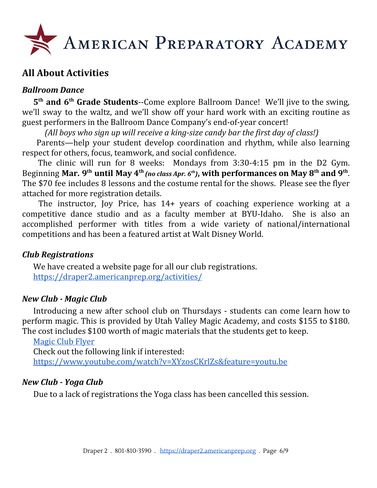

#### **All About Activities**

#### *Ballroom Dance*

**5 th and 6 th Grade Students**--Come explore Ballroom Dance! We'll jive to the swing, we'll sway to the waltz, and we'll show off your hard work with an exciting routine as guest performers in the Ballroom Dance Company's end-of-year concert!

*(All boys who sign up will receive a king-size candy bar the first day of class!)*

Parents—help your student develop coordination and rhythm, while also learning respect for others, focus, teamwork, and social confidence.

The clinic will run for 8 weeks: Mondays from 3:30-4:15 pm in the D2 Gym. Beginning Mar. 9<sup>th</sup> until May 4<sup>th</sup> (no class Apr. 6<sup>th</sup>), with performances on May 8<sup>th</sup> and 9<sup>th</sup>. The \$70 fee includes 8 lessons and the costume rental for the shows. Please see the flyer attached for more registration details.

The instructor, Joy Price, has 14+ years of coaching experience working at a competitive dance studio and as a faculty member at BYU-Idaho. She is also an accomplished performer with titles from a wide variety of national/international competitions and has been a featured artist at Walt Disney World.

#### *Club Registrations*

We have created a website page for all our club registrations. <https://draper2.americanprep.org/activities/>

#### *New Club - Magic Club*

Introducing a new after school club on Thursdays - students can come learn how to perform magic. This is provided by Utah Valley Magic Academy, and costs \$155 to \$180. The cost includes \$100 worth of magic materials that the students get to keep.

[Magic](https://draper2.americanprep.org/wp-content/uploads/sites/3/2020/01/APA-Purple-Wand-Magic-Flyer-1.pdf) Club Flyer

Check out the following link if interested:

<https://www.youtube.com/watch?v=XYzosCKrlZs&feature=youtu.be>

#### *New Club - Yoga Club*

Due to a lack of registrations the Yoga class has been cancelled this session.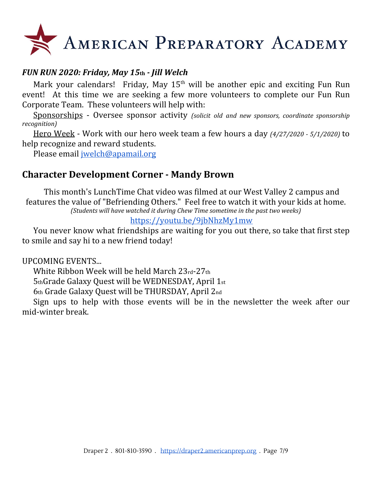# AMERICAN PREPARATORY ACADEMY

#### *FUN RUN 2020: Friday, May 15***th** *- Jill Welch*

Mark your calendars! Friday, May  $15<sup>th</sup>$  will be another epic and exciting Fun Run event! At this time we are seeking a few more volunteers to complete our Fun Run Corporate Team. These volunteers will help with:

Sponsorships - Oversee sponsor activity *(solicit old and new sponsors, coordinate sponsorship recognition)*

Hero Week - Work with our hero week team a few hours a day *(4/27/2020 - 5/1/2020)* to help recognize and reward students.

Please email [jwelch@apamail.org](mailto:jwelch@apamail.org)

#### **Character Development Corner - Mandy Brown**

This month's LunchTime Chat video was filmed at our West Valley 2 campus and features the value of "Befriending Others." Feel free to watch it with your kids at home. *(Students will have watched it during Chew Time sometime in the past two weeks)*

#### <https://youtu.be/9jbNhzMy1mw>

You never know what friendships are waiting for you out there, so take that first step to smile and say hi to a new friend today!

UPCOMING EVENTS...

White Ribbon Week will be held March 23rd-27th

5thGrade Galaxy Quest will be WEDNESDAY, April 1st

6th Grade Galaxy Quest will be THURSDAY, April 2nd

Sign ups to help with those events will be in the newsletter the week after our mid-winter break.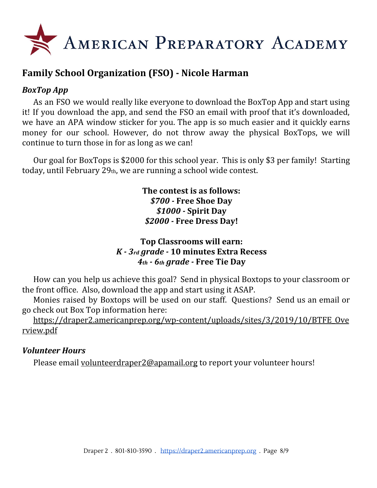

### **Family School Organization (FSO) - Nicole Harman**

#### *BoxTop App*

As an FSO we would really like everyone to download the BoxTop App and start using it! If you download the app, and send the FSO an email with proof that it's downloaded, we have an APA window sticker for you. The app is so much easier and it quickly earns money for our school. However, do not throw away the physical BoxTops, we will continue to turn those in for as long as we can!

Our goal for BoxTops is \$2000 for this school year. This is only \$3 per family! Starting today, until February 29th, we are running a school wide contest.

> **The contest is as follows:** *\$700 -* **Free Shoe Day** *\$1000 -* **Spirit Day** *\$2000 -* **Free Dress Day!**

#### **Top Classrooms will earn:** *K - 3rd grade -* **10 minutes Extra Recess** *4th - 6th grade -* **Free Tie Day**

How can you help us achieve this goal? Send in physical Boxtops to your classroom or the front office. Also, download the app and start using it ASAP.

Monies raised by Boxtops will be used on our staff. Questions? Send us an email or go check out Box Top information here:

[https://draper2.americanprep.org/wp-content/uploads/sites/3/2019/10/BTFE\\_Ove](https://draper2.americanprep.org/wp-content/uploads/sites/3/2019/10/BTFE_Overview.pdf) [rview.pdf](https://draper2.americanprep.org/wp-content/uploads/sites/3/2019/10/BTFE_Overview.pdf)

#### *Volunteer Hours*

Please email [volunteerdraper2@apamail.org](mailto:volunteerdraper2@apamail.org) to report your volunteer hours!